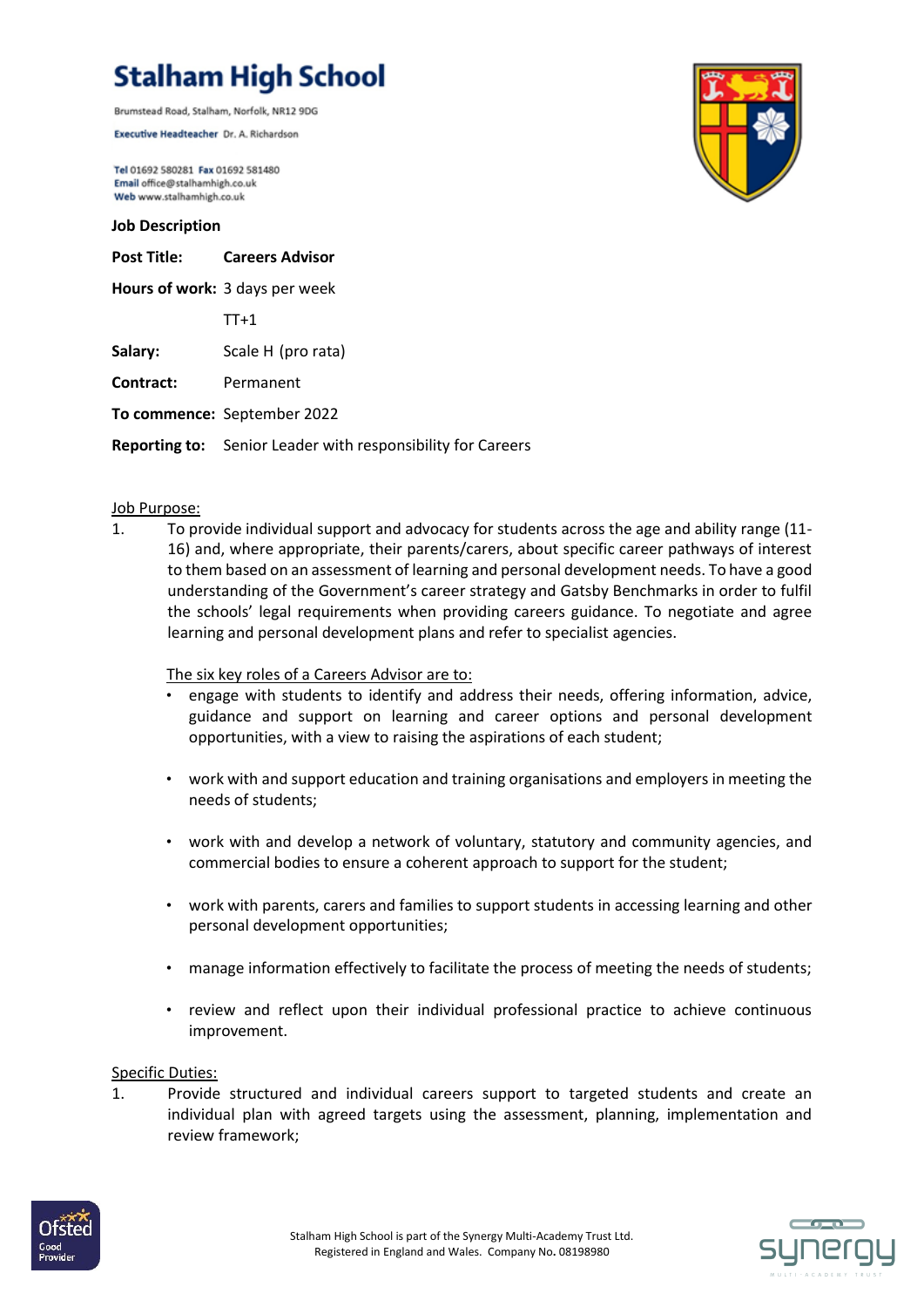# **Stalham High School**

Brumstead Road, Stalham, Norfolk, NR12 9DG

Executive Headteacher Dr. A. Richardson

Tel 01692 580281 Fax 01692 581480 Email office@stalhamhigh.co.uk Web www.stalhamhigh.co.uk

#### **Job Description**

**Post Title: Careers Advisor** 

**Hours of work:** 3 days per week

 $TT+1$ 

**Salary:** Scale H (pro rata)

**Contract:** Permanent

**To commence:** September 2022

**Reporting to:** Senior Leader with responsibility for Careers

#### Job Purpose:

1. To provide individual support and advocacy for students across the age and ability range (11- 16) and, where appropriate, their parents/carers, about specific career pathways of interest to them based on an assessment of learning and personal development needs. To have a good understanding of the Government's career strategy and Gatsby Benchmarks in order to fulfil the schools' legal requirements when providing careers guidance. To negotiate and agree learning and personal development plans and refer to specialist agencies.

The six key roles of a Careers Advisor are to:

- engage with students to identify and address their needs, offering information, advice, guidance and support on learning and career options and personal development opportunities, with a view to raising the aspirations of each student;
- work with and support education and training organisations and employers in meeting the needs of students;
- work with and develop a network of voluntary, statutory and community agencies, and commercial bodies to ensure a coherent approach to support for the student;
- work with parents, carers and families to support students in accessing learning and other personal development opportunities;
- manage information effectively to facilitate the process of meeting the needs of students;
- review and reflect upon their individual professional practice to achieve continuous improvement.

### Specific Duties:

1. Provide structured and individual careers support to targeted students and create an individual plan with agreed targets using the assessment, planning, implementation and review framework;







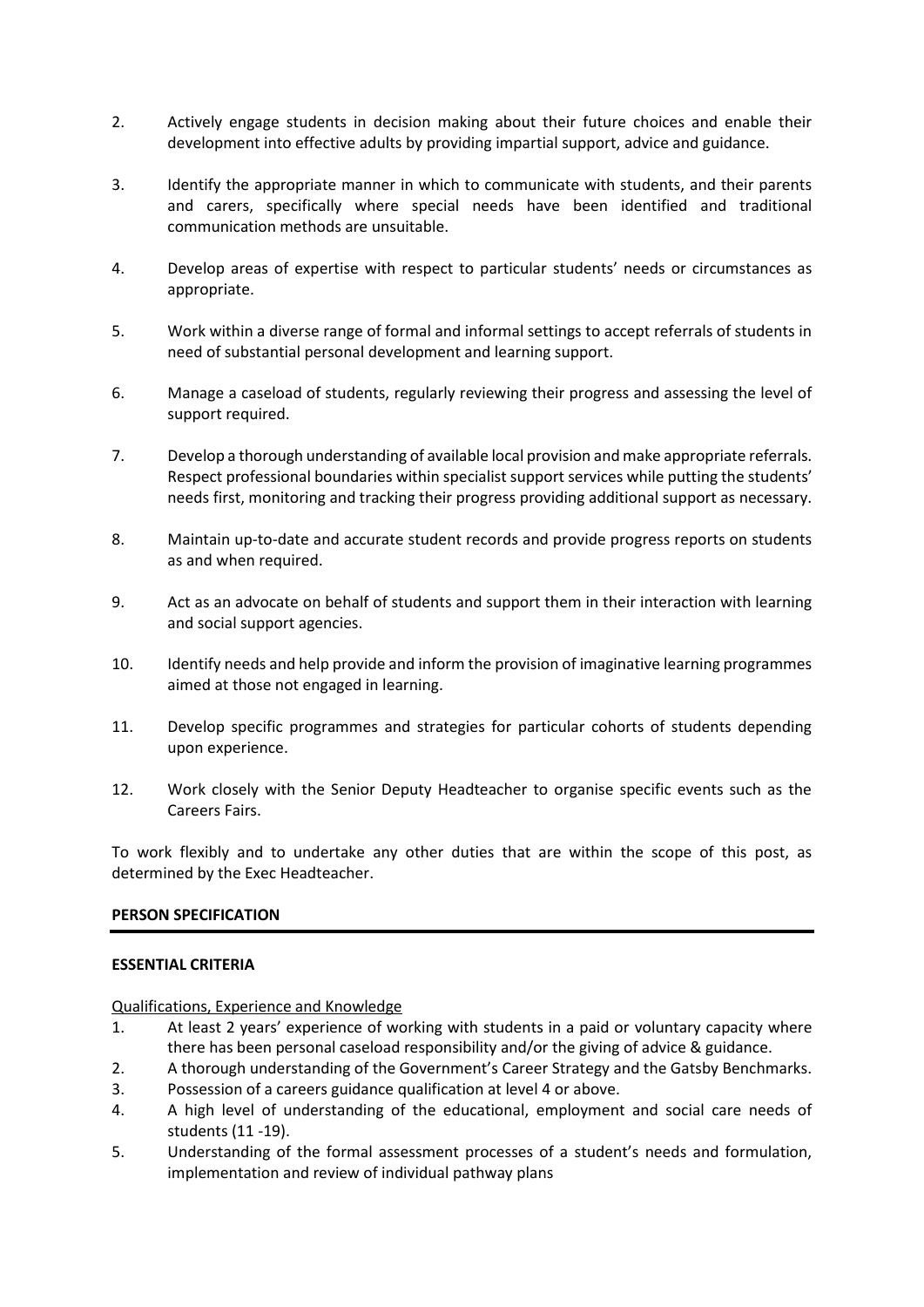- 2. Actively engage students in decision making about their future choices and enable their development into effective adults by providing impartial support, advice and guidance.
- 3. Identify the appropriate manner in which to communicate with students, and their parents and carers, specifically where special needs have been identified and traditional communication methods are unsuitable.
- 4. Develop areas of expertise with respect to particular students' needs or circumstances as appropriate.
- 5. Work within a diverse range of formal and informal settings to accept referrals of students in need of substantial personal development and learning support.
- 6. Manage a caseload of students, regularly reviewing their progress and assessing the level of support required.
- 7. Develop a thorough understanding of available local provision and make appropriate referrals. Respect professional boundaries within specialist support services while putting the students' needs first, monitoring and tracking their progress providing additional support as necessary.
- 8. Maintain up-to-date and accurate student records and provide progress reports on students as and when required.
- 9. Act as an advocate on behalf of students and support them in their interaction with learning and social support agencies.
- 10. Identify needs and help provide and inform the provision of imaginative learning programmes aimed at those not engaged in learning.
- 11. Develop specific programmes and strategies for particular cohorts of students depending upon experience.
- 12. Work closely with the Senior Deputy Headteacher to organise specific events such as the Careers Fairs.

To work flexibly and to undertake any other duties that are within the scope of this post, as determined by the Exec Headteacher.

### **PERSON SPECIFICATION**

### **ESSENTIAL CRITERIA**

Qualifications, Experience and Knowledge

- 1. At least 2 years' experience of working with students in a paid or voluntary capacity where there has been personal caseload responsibility and/or the giving of advice & guidance.
- 2. A thorough understanding of the Government's Career Strategy and the Gatsby Benchmarks.
- 3. Possession of a careers guidance qualification at level 4 or above.
- 4. A high level of understanding of the educational, employment and social care needs of students (11 -19).
- 5. Understanding of the formal assessment processes of a student's needs and formulation, implementation and review of individual pathway plans